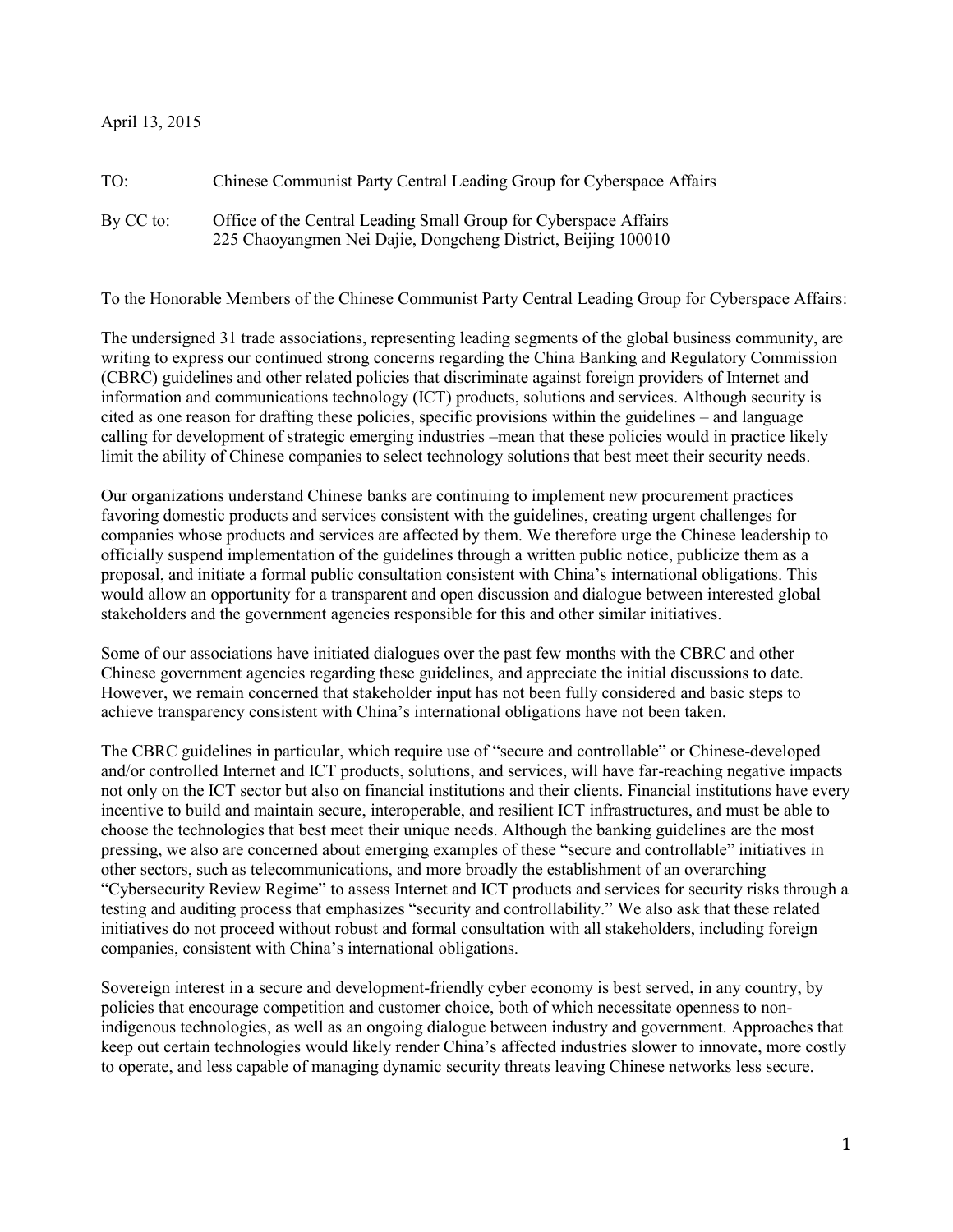## April 13, 2015

| TO:       | Chinese Communist Party Central Leading Group for Cyberspace Affairs                                                              |
|-----------|-----------------------------------------------------------------------------------------------------------------------------------|
| By CC to: | Office of the Central Leading Small Group for Cyberspace Affairs<br>225 Chaoyangmen Nei Dajie, Dongcheng District, Beijing 100010 |

To the Honorable Members of the Chinese Communist Party Central Leading Group for Cyberspace Affairs:

The undersigned 31 trade associations, representing leading segments of the global business community, are writing to express our continued strong concerns regarding the China Banking and Regulatory Commission (CBRC) guidelines and other related policies that discriminate against foreign providers of Internet and information and communications technology (ICT) products, solutions and services. Although security is cited as one reason for drafting these policies, specific provisions within the guidelines – and language calling for development of strategic emerging industries –mean that these policies would in practice likely limit the ability of Chinese companies to select technology solutions that best meet their security needs.

Our organizations understand Chinese banks are continuing to implement new procurement practices favoring domestic products and services consistent with the guidelines, creating urgent challenges for companies whose products and services are affected by them. We therefore urge the Chinese leadership to officially suspend implementation of the guidelines through a written public notice, publicize them as a proposal, and initiate a formal public consultation consistent with China's international obligations. This would allow an opportunity for a transparent and open discussion and dialogue between interested global stakeholders and the government agencies responsible for this and other similar initiatives.

Some of our associations have initiated dialogues over the past few months with the CBRC and other Chinese government agencies regarding these guidelines, and appreciate the initial discussions to date. However, we remain concerned that stakeholder input has not been fully considered and basic steps to achieve transparency consistent with China's international obligations have not been taken.

The CBRC guidelines in particular, which require use of "secure and controllable" or Chinese-developed and/or controlled Internet and ICT products, solutions, and services, will have far-reaching negative impacts not only on the ICT sector but also on financial institutions and their clients. Financial institutions have every incentive to build and maintain secure, interoperable, and resilient ICT infrastructures, and must be able to choose the technologies that best meet their unique needs. Although the banking guidelines are the most pressing, we also are concerned about emerging examples of these "secure and controllable" initiatives in other sectors, such as telecommunications, and more broadly the establishment of an overarching "Cybersecurity Review Regime" to assess Internet and ICT products and services for security risks through a testing and auditing process that emphasizes "security and controllability." We also ask that these related initiatives do not proceed without robust and formal consultation with all stakeholders, including foreign companies, consistent with China's international obligations.

Sovereign interest in a secure and development-friendly cyber economy is best served, in any country, by policies that encourage competition and customer choice, both of which necessitate openness to nonindigenous technologies, as well as an ongoing dialogue between industry and government. Approaches that keep out certain technologies would likely render China's affected industries slower to innovate, more costly to operate, and less capable of managing dynamic security threats leaving Chinese networks less secure.